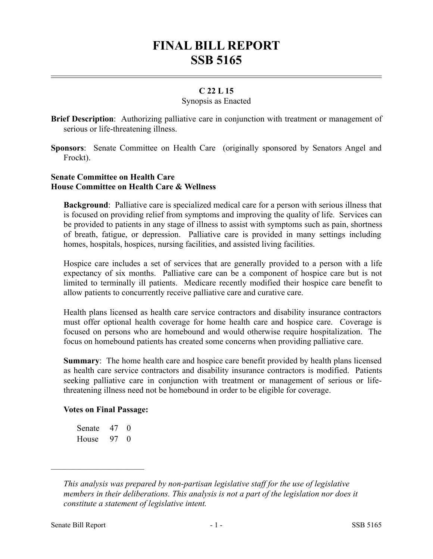# **FINAL BILL REPORT SSB 5165**

# **C 22 L 15**

### Synopsis as Enacted

**Brief Description**: Authorizing palliative care in conjunction with treatment or management of serious or life-threatening illness.

**Sponsors**: Senate Committee on Health Care (originally sponsored by Senators Angel and Frockt).

## **Senate Committee on Health Care House Committee on Health Care & Wellness**

**Background**: Palliative care is specialized medical care for a person with serious illness that is focused on providing relief from symptoms and improving the quality of life. Services can be provided to patients in any stage of illness to assist with symptoms such as pain, shortness of breath, fatigue, or depression. Palliative care is provided in many settings including homes, hospitals, hospices, nursing facilities, and assisted living facilities.

Hospice care includes a set of services that are generally provided to a person with a life expectancy of six months. Palliative care can be a component of hospice care but is not limited to terminally ill patients. Medicare recently modified their hospice care benefit to allow patients to concurrently receive palliative care and curative care.

Health plans licensed as health care service contractors and disability insurance contractors must offer optional health coverage for home health care and hospice care. Coverage is focused on persons who are homebound and would otherwise require hospitalization. The focus on homebound patients has created some concerns when providing palliative care.

**Summary**: The home health care and hospice care benefit provided by health plans licensed as health care service contractors and disability insurance contractors is modified. Patients seeking palliative care in conjunction with treatment or management of serious or lifethreatening illness need not be homebound in order to be eligible for coverage.

## **Votes on Final Passage:**

| Senate | 47 | $\Omega$ |
|--------|----|----------|
| House  | 97 | $\Omega$ |

––––––––––––––––––––––

*This analysis was prepared by non-partisan legislative staff for the use of legislative members in their deliberations. This analysis is not a part of the legislation nor does it constitute a statement of legislative intent.*